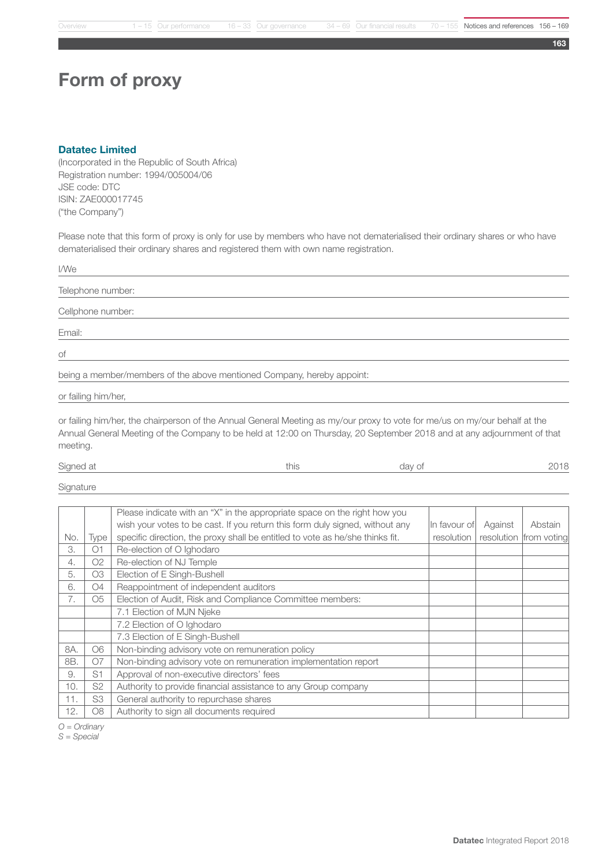163

## Form of proxy

## Datatec Limited

(Incorporated in the Republic of South Africa) Registration number: 1994/005004/06 JSE code: DTC ISIN: ZAE000017745 ("the Company")

Please note that this form of proxy is only for use by members who have not dematerialised their ordinary shares or who have dematerialised their ordinary shares and registered them with own name registration.

| I/We                                                                   |
|------------------------------------------------------------------------|
| Telephone number:                                                      |
| Cellphone number:                                                      |
| Email:                                                                 |
| $\circ f$                                                              |
| being a member/members of the above mentioned Company, hereby appoint: |
| or failing him/her,                                                    |

or failing him/her, the chairperson of the Annual General Meeting as my/our proxy to vote for me/us on my/our behalf at the Annual General Meeting of the Company to be held at 12:00 on Thursday, 20 September 2018 and at any adjournment of that meeting.

| Signed at | u iio | day of |  |
|-----------|-------|--------|--|
|           |       |        |  |

**Signature** 

|     |                | Please indicate with an "X" in the appropriate space on the right how you     |            |                         |                        |
|-----|----------------|-------------------------------------------------------------------------------|------------|-------------------------|------------------------|
|     |                | wish your votes to be cast. If you return this form duly signed, without any  |            | In favour of<br>Against | Abstain                |
| No. | Type           | specific direction, the proxy shall be entitled to vote as he/she thinks fit. | resolution |                         | resolution from voting |
| 3.  | O <sub>1</sub> | Re-election of O Ighodaro                                                     |            |                         |                        |
| 4.  | O <sub>2</sub> | Re-election of NJ Temple                                                      |            |                         |                        |
| 5.  | O <sub>3</sub> | Election of E Singh-Bushell                                                   |            |                         |                        |
| 6.  | <b>O4</b>      | Reappointment of independent auditors                                         |            |                         |                        |
| 7.  | O <sub>5</sub> | Election of Audit, Risk and Compliance Committee members:                     |            |                         |                        |
|     |                | 7.1 Election of MJN Njeke                                                     |            |                         |                        |
|     |                | 7.2 Election of O Ighodaro                                                    |            |                         |                        |
|     |                | 7.3 Election of E Singh-Bushell                                               |            |                         |                        |
| 8A. | O <sub>6</sub> | Non-binding advisory vote on remuneration policy                              |            |                         |                        |
| 8B. | <b>O7</b>      | Non-binding advisory vote on remuneration implementation report               |            |                         |                        |
| 9.  | S <sub>1</sub> | Approval of non-executive directors' fees                                     |            |                         |                        |
| 10. | S <sub>2</sub> | Authority to provide financial assistance to any Group company                |            |                         |                        |
| 11. | S3             | General authority to repurchase shares                                        |            |                         |                        |
| 12. | O <sub>8</sub> | Authority to sign all documents required                                      |            |                         |                        |

*O = Ordinary*

*S = Special*